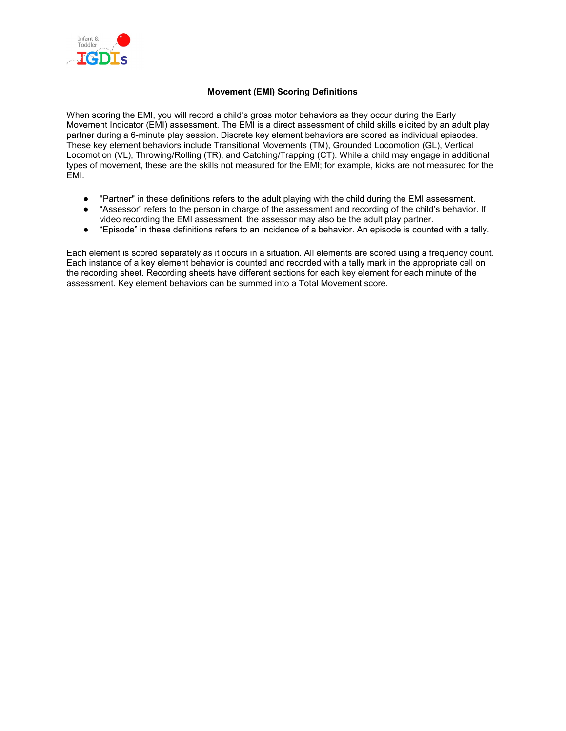

#### **Movement (EMI) Scoring Definitions**

When scoring the EMI, you will record a child's gross motor behaviors as they occur during the Early Movement Indicator (EMI) assessment. The EMI is a direct assessment of child skills elicited by an adult play partner during a 6-minute play session. Discrete key element behaviors are scored as individual episodes. These key element behaviors include Transitional Movements (TM), Grounded Locomotion (GL), Vertical Locomotion (VL), Throwing/Rolling (TR), and Catching/Trapping (CT). While a child may engage in additional types of movement, these are the skills not measured for the EMI; for example, kicks are not measured for the EMI.

- "Partner" in these definitions refers to the adult playing with the child during the EMI assessment.
- "Assessor" refers to the person in charge of the assessment and recording of the child's behavior. If video recording the EMI assessment, the assessor may also be the adult play partner.
- "Episode" in these definitions refers to an incidence of a behavior. An episode is counted with a tally.

Each element is scored separately as it occurs in a situation. All elements are scored using a frequency count. Each instance of a key element behavior is counted and recorded with a tally mark in the appropriate cell on the recording sheet. Recording sheets have different sections for each key element for each minute of the assessment. Key element behaviors can be summed into a Total Movement score.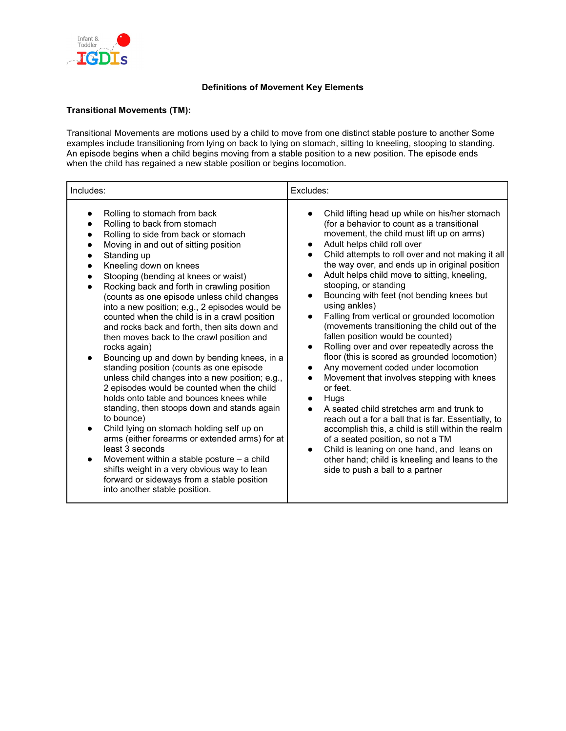

#### **Definitions of Movement Key Elements**

#### **Transitional Movements (TM):**

Transitional Movements are motions used by a child to move from one distinct stable posture to another Some examples include transitioning from lying on back to lying on stomach, sitting to kneeling, stooping to standing. An episode begins when a child begins moving from a stable position to a new position. The episode ends when the child has regained a new stable position or begins locomotion.

| Includes:                                                                                                                                                                                                                                                                                                                                                                                                                                                                                                                                                                                                                                                                                                                                                                                                                                                                                                                                                                                                                                                                                                                                         | Excludes:                                                                                                                                                                                                                                                                                                                                                                                                                                                                                                                                                                                                                                                                                                                                                                                                                                                                                                                                                                                                                                                                                                |
|---------------------------------------------------------------------------------------------------------------------------------------------------------------------------------------------------------------------------------------------------------------------------------------------------------------------------------------------------------------------------------------------------------------------------------------------------------------------------------------------------------------------------------------------------------------------------------------------------------------------------------------------------------------------------------------------------------------------------------------------------------------------------------------------------------------------------------------------------------------------------------------------------------------------------------------------------------------------------------------------------------------------------------------------------------------------------------------------------------------------------------------------------|----------------------------------------------------------------------------------------------------------------------------------------------------------------------------------------------------------------------------------------------------------------------------------------------------------------------------------------------------------------------------------------------------------------------------------------------------------------------------------------------------------------------------------------------------------------------------------------------------------------------------------------------------------------------------------------------------------------------------------------------------------------------------------------------------------------------------------------------------------------------------------------------------------------------------------------------------------------------------------------------------------------------------------------------------------------------------------------------------------|
| Rolling to stomach from back<br>Rolling to back from stomach<br>Rolling to side from back or stomach<br>Moving in and out of sitting position<br>Standing up<br>Kneeling down on knees<br>Stooping (bending at knees or waist)<br>Rocking back and forth in crawling position<br>(counts as one episode unless child changes<br>into a new position; e.g., 2 episodes would be<br>counted when the child is in a crawl position<br>and rocks back and forth, then sits down and<br>then moves back to the crawl position and<br>rocks again)<br>Bouncing up and down by bending knees, in a<br>standing position (counts as one episode<br>unless child changes into a new position; e.g.,<br>2 episodes would be counted when the child<br>holds onto table and bounces knees while<br>standing, then stoops down and stands again<br>to bounce)<br>Child lying on stomach holding self up on<br>arms (either forearms or extended arms) for at<br>least 3 seconds<br>Movement within a stable posture $-$ a child<br>shifts weight in a very obvious way to lean<br>forward or sideways from a stable position<br>into another stable position. | Child lifting head up while on his/her stomach<br>(for a behavior to count as a transitional<br>movement, the child must lift up on arms)<br>Adult helps child roll over<br>Child attempts to roll over and not making it all<br>the way over, and ends up in original position<br>Adult helps child move to sitting, kneeling,<br>stooping, or standing<br>Bouncing with feet (not bending knees but<br>using ankles)<br>Falling from vertical or grounded locomotion<br>(movements transitioning the child out of the<br>fallen position would be counted)<br>Rolling over and over repeatedly across the<br>floor (this is scored as grounded locomotion)<br>Any movement coded under locomotion<br>Movement that involves stepping with knees<br>or feet.<br>Hugs<br>A seated child stretches arm and trunk to<br>reach out a for a ball that is far. Essentially, to<br>accomplish this, a child is still within the realm<br>of a seated position, so not a TM<br>Child is leaning on one hand, and leans on<br>other hand; child is kneeling and leans to the<br>side to push a ball to a partner |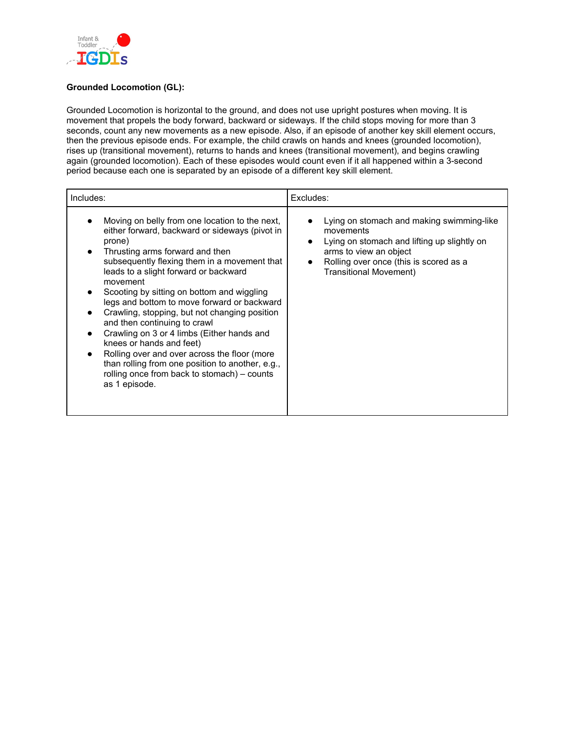

# **Grounded Locomotion (GL):**

Grounded Locomotion is horizontal to the ground, and does not use upright postures when moving. It is movement that propels the body forward, backward or sideways. If the child stops moving for more than 3 seconds, count any new movements as a new episode. Also, if an episode of another key skill element occurs, then the previous episode ends. For example, the child crawls on hands and knees (grounded locomotion), rises up (transitional movement), returns to hands and knees (transitional movement), and begins crawling again (grounded locomotion). Each of these episodes would count even if it all happened within a 3-second period because each one is separated by an episode of a different key skill element.

| Includes:                                                                                                                                                                                                                                                                                                                                                                                                                                                                                                                                                                                                                                                                      | Excludes:                                                                                                                                                                                                  |
|--------------------------------------------------------------------------------------------------------------------------------------------------------------------------------------------------------------------------------------------------------------------------------------------------------------------------------------------------------------------------------------------------------------------------------------------------------------------------------------------------------------------------------------------------------------------------------------------------------------------------------------------------------------------------------|------------------------------------------------------------------------------------------------------------------------------------------------------------------------------------------------------------|
| Moving on belly from one location to the next,<br>either forward, backward or sideways (pivot in<br>prone)<br>Thrusting arms forward and then<br>subsequently flexing them in a movement that<br>leads to a slight forward or backward<br>movement<br>Scooting by sitting on bottom and wiggling<br>legs and bottom to move forward or backward<br>Crawling, stopping, but not changing position<br>and then continuing to crawl<br>Crawling on 3 or 4 limbs (Either hands and<br>knees or hands and feet)<br>Rolling over and over across the floor (more<br>than rolling from one position to another, e.g.,<br>rolling once from back to stomach) - counts<br>as 1 episode. | Lying on stomach and making swimming-like<br>movements<br>Lying on stomach and lifting up slightly on<br>arms to view an object<br>Rolling over once (this is scored as a<br><b>Transitional Movement)</b> |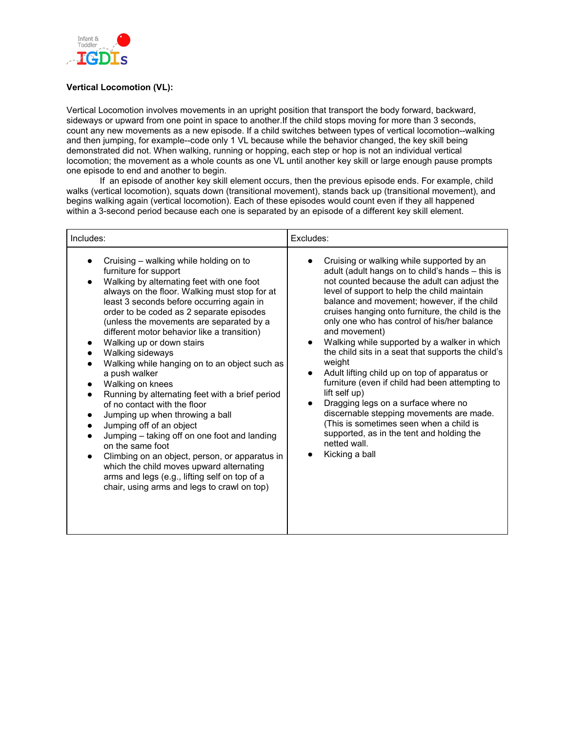

## **Vertical Locomotion (VL):**

Vertical Locomotion involves movements in an upright position that transport the body forward, backward, sideways or upward from one point in space to another.If the child stops moving for more than 3 seconds, count any new movements as a new episode. If a child switches between types of vertical locomotion--walking and then jumping, for example--code only 1 VL because while the behavior changed, the key skill being demonstrated did not. When walking, running or hopping, each step or hop is not an individual vertical locomotion; the movement as a whole counts as one VL until another key skill or large enough pause prompts one episode to end and another to begin.

If an episode of another key skill element occurs, then the previous episode ends. For example, child walks (vertical locomotion), squats down (transitional movement), stands back up (transitional movement), and begins walking again (vertical locomotion). Each of these episodes would count even if they all happened within a 3-second period because each one is separated by an episode of a different key skill element.

| Cruising – walking while holding on to<br>$\bullet$                                                                                                                                                                                                                                                                                                                                                                                                                                                                                                                                                                                                                                                                                                                                                                                                                                                       | Cruising or walking while supported by an                                                                                                                                                                                                                                                                                                                                                                                                                                                                                                                                                                                                                                                                                                                                         |
|-----------------------------------------------------------------------------------------------------------------------------------------------------------------------------------------------------------------------------------------------------------------------------------------------------------------------------------------------------------------------------------------------------------------------------------------------------------------------------------------------------------------------------------------------------------------------------------------------------------------------------------------------------------------------------------------------------------------------------------------------------------------------------------------------------------------------------------------------------------------------------------------------------------|-----------------------------------------------------------------------------------------------------------------------------------------------------------------------------------------------------------------------------------------------------------------------------------------------------------------------------------------------------------------------------------------------------------------------------------------------------------------------------------------------------------------------------------------------------------------------------------------------------------------------------------------------------------------------------------------------------------------------------------------------------------------------------------|
| furniture for support<br>Walking by alternating feet with one foot<br>always on the floor. Walking must stop for at<br>least 3 seconds before occurring again in<br>order to be coded as 2 separate episodes<br>(unless the movements are separated by a<br>different motor behavior like a transition)<br>Walking up or down stairs<br>Walking sideways<br>Walking while hanging on to an object such as<br>a push walker<br>Walking on knees<br>$\bullet$<br>Running by alternating feet with a brief period<br>of no contact with the floor<br>Jumping up when throwing a ball<br>$\bullet$<br>Jumping off of an object<br>$\bullet$<br>Jumping - taking off on one foot and landing<br>on the same foot<br>Climbing on an object, person, or apparatus in<br>which the child moves upward alternating<br>arms and legs (e.g., lifting self on top of a<br>chair, using arms and legs to crawl on top) | adult (adult hangs on to child's hands - this is<br>not counted because the adult can adjust the<br>level of support to help the child maintain<br>balance and movement; however, if the child<br>cruises hanging onto furniture, the child is the<br>only one who has control of his/her balance<br>and movement)<br>Walking while supported by a walker in which<br>the child sits in a seat that supports the child's<br>weight<br>Adult lifting child up on top of apparatus or<br>$\bullet$<br>furniture (even if child had been attempting to<br>lift self up)<br>Dragging legs on a surface where no<br>discernable stepping movements are made.<br>(This is sometimes seen when a child is<br>supported, as in the tent and holding the<br>netted wall.<br>Kicking a ball |